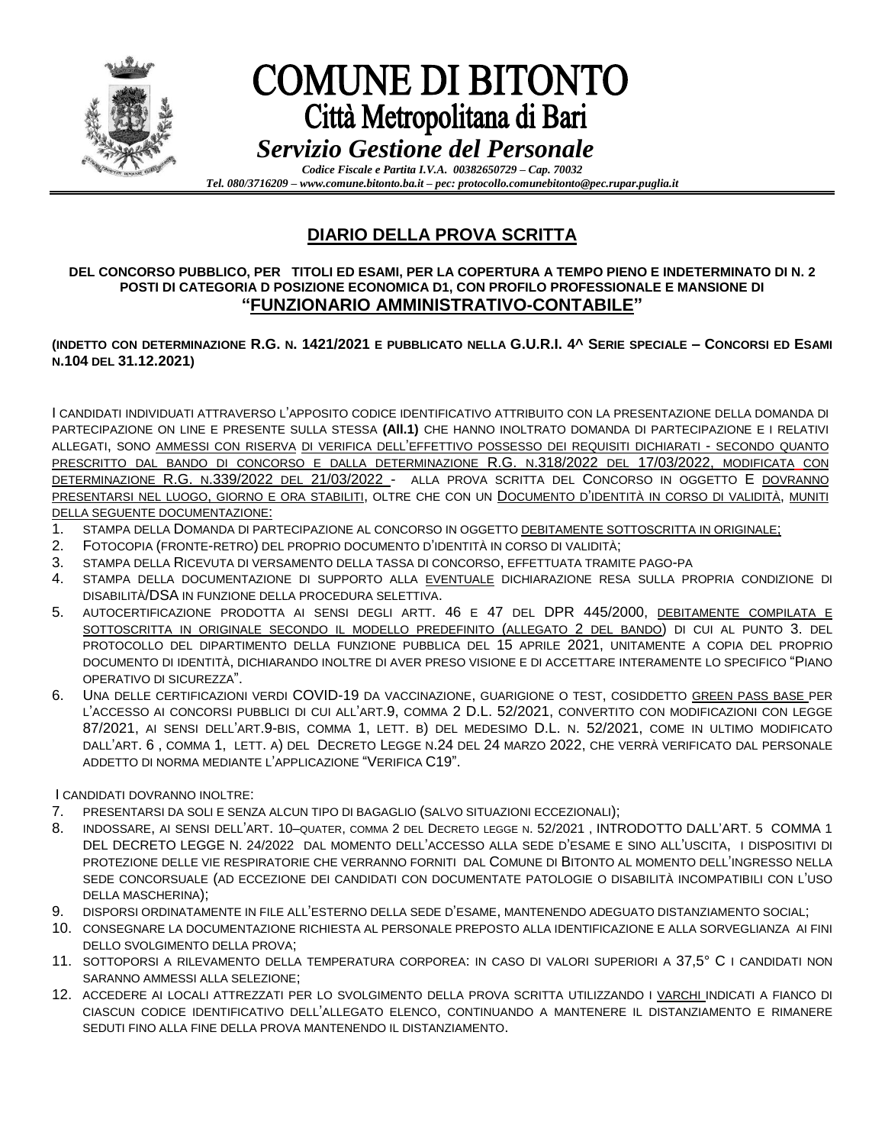

## **COMUNE DI BITONTO** Città Metropolitana di Bari *Servizio Gestione del Personale*

*Codice Fiscale e Partita I.V.A. 00382650729 – Cap. 70032 Tel. 080/3716209 – www.comune.bitonto.ba.it – pec: protocollo.comunebitonto@pec.rupar.puglia.it*

### **DIARIO DELLA PROVA SCRITTA**

### **DEL CONCORSO PUBBLICO, PER TITOLI ED ESAMI, PER LA COPERTURA A TEMPO PIENO E INDETERMINATO DI N. 2 POSTI DI CATEGORIA D POSIZIONE ECONOMICA D1, CON PROFILO PROFESSIONALE E MANSIONE DI "FUNZIONARIO AMMINISTRATIVO-CONTABILE"**

### **(INDETTO CON DETERMINAZIONE R.G. N. 1421/2021 E PUBBLICATO NELLA G.U.R.I. 4^ SERIE SPECIALE – CONCORSI ED ESAMI N.104 DEL 31.12.2021)**

I CANDIDATI INDIVIDUATI ATTRAVERSO L'APPOSITO CODICE IDENTIFICATIVO ATTRIBUITO CON LA PRESENTAZIONE DELLA DOMANDA DI PARTECIPAZIONE ON LINE E PRESENTE SULLA STESSA **(All.1)** CHE HANNO INOLTRATO DOMANDA DI PARTECIPAZIONE E I RELATIVI ALLEGATI, SONO AMMESSI CON RISERVA DI VERIFICA DELL'EFFETTIVO POSSESSO DEI REQUISITI DICHIARATI - SECONDO QUANTO PRESCRITTO DAL BANDO DI CONCORSO E DALLA DETERMINAZIONE R.G. N.318/2022 DEL 17/03/2022, MODIFICATA CON DETERMINAZIONE R.G. N.339/2022 DEL 21/03/2022 - ALLA PROVA SCRITTA DEL CONCORSO IN OGGETTO E DOVRANNO PRESENTARSI NEL LUOGO, GIORNO E ORA STABILITI, OLTRE CHE CON UN DOCUMENTO D'IDENTITÀ IN CORSO DI VALIDITÀ, MUNITI DELLA SEGUENTE DOCUMENTAZIONE:

- 1. STAMPA DELLA DOMANDA DI PARTECIPAZIONE AL CONCORSO IN OGGETTO DEBITAMENTE SOTTOSCRITTA IN ORIGINALE;
- 2. FOTOCOPIA (FRONTE-RETRO) DEL PROPRIO DOCUMENTO D'IDENTITÀ IN CORSO DI VALIDITÀ;
- 3. STAMPA DELLA RICEVUTA DI VERSAMENTO DELLA TASSA DI CONCORSO, EFFETTUATA TRAMITE PAGO-PA
- 4. STAMPA DELLA DOCUMENTAZIONE DI SUPPORTO ALLA EVENTUALE DICHIARAZIONE RESA SULLA PROPRIA CONDIZIONE DI DISABILITÀ/DSA IN FUNZIONE DELLA PROCEDURA SELETTIVA.
- 5. AUTOCERTIFICAZIONE PRODOTTA AI SENSI DEGLI ARTT. 46 E 47 DEL DPR 445/2000, DEBITAMENTE COMPILATA E SOTTOSCRITTA IN ORIGINALE SECONDO IL MODELLO PREDEFINITO (ALLEGATO 2 DEL BANDO) DI CUI AL PUNTO 3. DEL PROTOCOLLO DEL DIPARTIMENTO DELLA FUNZIONE PUBBLICA DEL 15 APRILE 2021, UNITAMENTE A COPIA DEL PROPRIO DOCUMENTO DI IDENTITÀ, DICHIARANDO INOLTRE DI AVER PRESO VISIONE E DI ACCETTARE INTERAMENTE LO SPECIFICO "PIANO OPERATIVO DI SICUREZZA".
- 6. UNA DELLE CERTIFICAZIONI VERDI COVID-19 DA VACCINAZIONE, GUARIGIONE O TEST, COSIDDETTO GREEN PASS BASE PER L'ACCESSO AI CONCORSI PUBBLICI DI CUI ALL'ART.9, COMMA 2 D.L. 52/2021, CONVERTITO CON MODIFICAZIONI CON LEGGE 87/2021, AI SENSI DELL'ART.9-BIS, COMMA 1, LETT. B) DEL MEDESIMO D.L. N. 52/2021, COME IN ULTIMO MODIFICATO DALL'ART. 6 , COMMA 1, LETT. A) DEL DECRETO LEGGE N.24 DEL 24 MARZO 2022, CHE VERRÀ VERIFICATO DAL PERSONALE ADDETTO DI NORMA MEDIANTE L'APPLICAZIONE "VERIFICA C19".

I CANDIDATI DOVRANNO INOLTRE:

- 7. PRESENTARSI DA SOLI E SENZA ALCUN TIPO DI BAGAGLIO (SALVO SITUAZIONI ECCEZIONALI);
- 8. INDOSSARE, AI SENSI DELL'ART. 10–QUATER, COMMA 2 DEL DECRETO LEGGE N. 52/2021 , INTRODOTTO DALL'ART. 5 COMMA 1 DEL DECRETO LEGGE N. 24/2022 DAL MOMENTO DELL'ACCESSO ALLA SEDE D'ESAME E SINO ALL'USCITA, I DISPOSITIVI DI PROTEZIONE DELLE VIE RESPIRATORIE CHE VERRANNO FORNITI DAL COMUNE DI BITONTO AL MOMENTO DELL'INGRESSO NELLA SEDE CONCORSUALE (AD ECCEZIONE DEI CANDIDATI CON DOCUMENTATE PATOLOGIE O DISABILITÀ INCOMPATIBILI CON L'USO DELLA MASCHERINA);
- 9. DISPORSI ORDINATAMENTE IN FILE ALL'ESTERNO DELLA SEDE D'ESAME, MANTENENDO ADEGUATO DISTANZIAMENTO SOCIAL;
- 10. CONSEGNARE LA DOCUMENTAZIONE RICHIESTA AL PERSONALE PREPOSTO ALLA IDENTIFICAZIONE E ALLA SORVEGLIANZA AI FINI DELLO SVOLGIMENTO DELLA PROVA;
- 11. SOTTOPORSI A RILEVAMENTO DELLA TEMPERATURA CORPOREA: IN CASO DI VALORI SUPERIORI A 37,5° C I CANDIDATI NON SARANNO AMMESSI ALLA SELEZIONE;
- 12. ACCEDERE AI LOCALI ATTREZZATI PER LO SVOLGIMENTO DELLA PROVA SCRITTA UTILIZZANDO I VARCHI INDICATI A FIANCO DI CIASCUN CODICE IDENTIFICATIVO DELL'ALLEGATO ELENCO, CONTINUANDO A MANTENERE IL DISTANZIAMENTO E RIMANERE SEDUTI FINO ALLA FINE DELLA PROVA MANTENENDO IL DISTANZIAMENTO.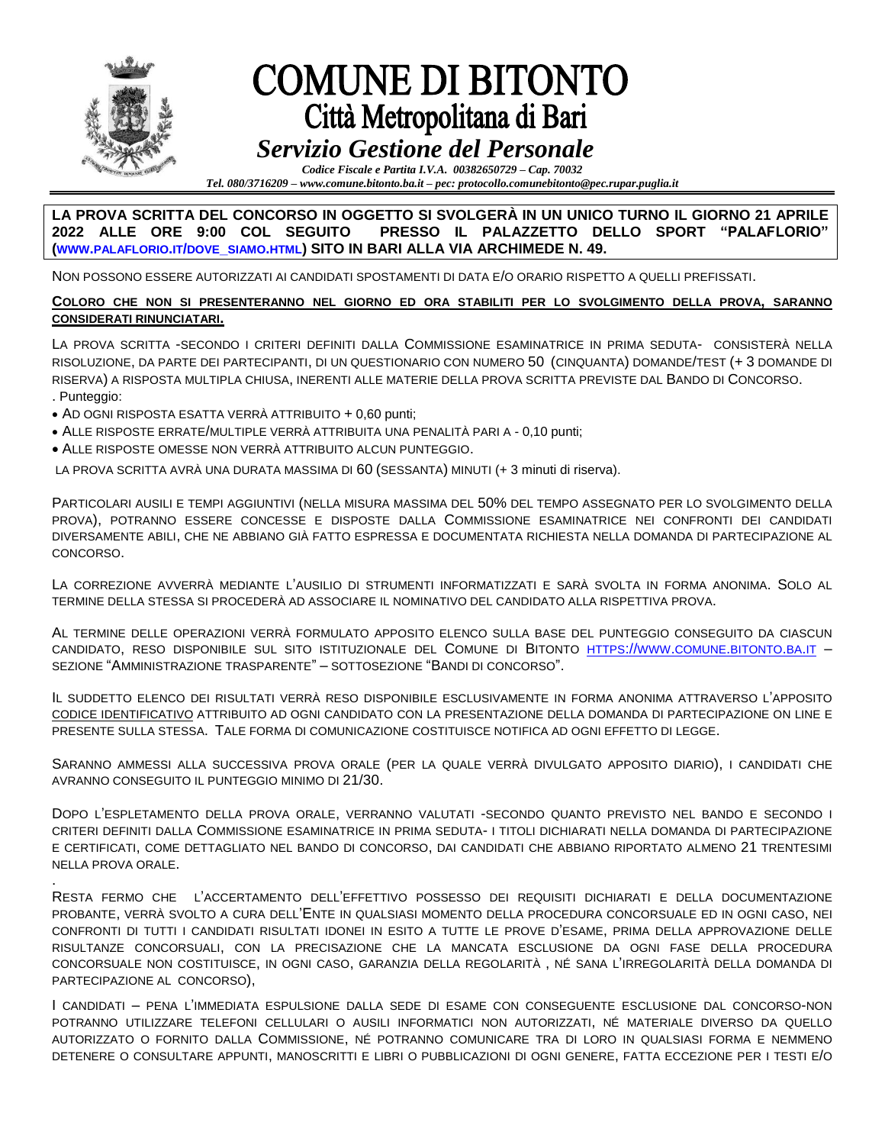

.

# **COMUNE DI BITONTO** Città Metropolitana di Bari

## *Servizio Gestione del Personale*

*Codice Fiscale e Partita I.V.A. 00382650729 – Cap. 70032 Tel. 080/3716209 – www.comune.bitonto.ba.it – pec: protocollo.comunebitonto@pec.rupar.puglia.it*

#### **LA PROVA SCRITTA DEL CONCORSO IN OGGETTO SI SVOLGERÀ IN UN UNICO TURNO IL GIORNO 21 APRILE 2022 ALLE ORE 9:00 COL SEGUITO PRESSO IL PALAZZETTO DELLO SPORT "PALAFLORIO" (WWW.[PALAFLORIO](http://www.palaflorio.it/dove_siamo.html).IT/DOVE\_SIAMO.HTML) SITO IN BARI ALLA VIA ARCHIMEDE N. 49.**

NON POSSONO ESSERE AUTORIZZATI AI CANDIDATI SPOSTAMENTI DI DATA E/O ORARIO RISPETTO A QUELLI PREFISSATI.

### **COLORO CHE NON SI PRESENTERANNO NEL GIORNO ED ORA STABILITI PER LO SVOLGIMENTO DELLA PROVA, SARANNO CONSIDERATI RINUNCIATARI.**

LA PROVA SCRITTA -SECONDO I CRITERI DEFINITI DALLA COMMISSIONE ESAMINATRICE IN PRIMA SEDUTA- CONSISTERÀ NELLA RISOLUZIONE, DA PARTE DEI PARTECIPANTI, DI UN QUESTIONARIO CON NUMERO 50 (CINQUANTA) DOMANDE/TEST (+ 3 DOMANDE DI RISERVA) A RISPOSTA MULTIPLA CHIUSA, INERENTI ALLE MATERIE DELLA PROVA SCRITTA PREVISTE DAL BANDO DI CONCORSO. . Punteggio:

- AD OGNI RISPOSTA ESATTA VERRÀ ATTRIBUITO + 0,60 punti;
- ALLE RISPOSTE ERRATE/MULTIPLE VERRÀ ATTRIBUITA UNA PENALITÀ PARI A 0,10 punti;
- ALLE RISPOSTE OMESSE NON VERRÀ ATTRIBUITO ALCUN PUNTEGGIO.

LA PROVA SCRITTA AVRÀ UNA DURATA MASSIMA DI 60 (SESSANTA) MINUTI (+ 3 minuti di riserva).

PARTICOLARI AUSILI E TEMPI AGGIUNTIVI (NELLA MISURA MASSIMA DEL 50% DEL TEMPO ASSEGNATO PER LO SVOLGIMENTO DELLA PROVA), POTRANNO ESSERE CONCESSE E DISPOSTE DALLA COMMISSIONE ESAMINATRICE NEI CONFRONTI DEI CANDIDATI DIVERSAMENTE ABILI, CHE NE ABBIANO GIÀ FATTO ESPRESSA E DOCUMENTATA RICHIESTA NELLA DOMANDA DI PARTECIPAZIONE AL CONCORSO.

LA CORREZIONE AVVERRÀ MEDIANTE L'AUSILIO DI STRUMENTI INFORMATIZZATI E SARÀ SVOLTA IN FORMA ANONIMA. SOLO AL TERMINE DELLA STESSA SI PROCEDERÀ AD ASSOCIARE IL NOMINATIVO DEL CANDIDATO ALLA RISPETTIVA PROVA.

AL TERMINE DELLE OPERAZIONI VERRÀ FORMULATO APPOSITO ELENCO SULLA BASE DEL PUNTEGGIO CONSEGUITO DA CIASCUN CANDIDATO, RESO DISPONIBILE SUL SITO ISTITUZIONALE DEL COMUNE DI BITONTO HTTPS://WWW.COMUNE.[BITONTO](https://www.comune.bitonto.ba.it/).BA.IT – SEZIONE "AMMINISTRAZIONE TRASPARENTE" – SOTTOSEZIONE "BANDI DI CONCORSO".

IL SUDDETTO ELENCO DEI RISULTATI VERRÀ RESO DISPONIBILE ESCLUSIVAMENTE IN FORMA ANONIMA ATTRAVERSO L'APPOSITO CODICE IDENTIFICATIVO ATTRIBUITO AD OGNI CANDIDATO CON LA PRESENTAZIONE DELLA DOMANDA DI PARTECIPAZIONE ON LINE E PRESENTE SULLA STESSA. TALE FORMA DI COMUNICAZIONE COSTITUISCE NOTIFICA AD OGNI EFFETTO DI LEGGE.

SARANNO AMMESSI ALLA SUCCESSIVA PROVA ORALE (PER LA QUALE VERRÀ DIVULGATO APPOSITO DIARIO), I CANDIDATI CHE AVRANNO CONSEGUITO IL PUNTEGGIO MINIMO DI 21/30.

DOPO L'ESPLETAMENTO DELLA PROVA ORALE, VERRANNO VALUTATI -SECONDO QUANTO PREVISTO NEL BANDO E SECONDO I CRITERI DEFINITI DALLA COMMISSIONE ESAMINATRICE IN PRIMA SEDUTA- I TITOLI DICHIARATI NELLA DOMANDA DI PARTECIPAZIONE E CERTIFICATI, COME DETTAGLIATO NEL BANDO DI CONCORSO, DAI CANDIDATI CHE ABBIANO RIPORTATO ALMENO 21 TRENTESIMI NELLA PROVA ORALE.

RESTA FERMO CHE L'ACCERTAMENTO DELL'EFFETTIVO POSSESSO DEI REQUISITI DICHIARATI E DELLA DOCUMENTAZIONE PROBANTE, VERRÀ SVOLTO A CURA DELL'ENTE IN QUALSIASI MOMENTO DELLA PROCEDURA CONCORSUALE ED IN OGNI CASO, NEI CONFRONTI DI TUTTI I CANDIDATI RISULTATI IDONEI IN ESITO A TUTTE LE PROVE D'ESAME, PRIMA DELLA APPROVAZIONE DELLE RISULTANZE CONCORSUALI, CON LA PRECISAZIONE CHE LA MANCATA ESCLUSIONE DA OGNI FASE DELLA PROCEDURA CONCORSUALE NON COSTITUISCE, IN OGNI CASO, GARANZIA DELLA REGOLARITÀ , NÉ SANA L'IRREGOLARITÀ DELLA DOMANDA DI PARTECIPAZIONE AL CONCORSO),

I CANDIDATI – PENA L'IMMEDIATA ESPULSIONE DALLA SEDE DI ESAME CON CONSEGUENTE ESCLUSIONE DAL CONCORSO-NON POTRANNO UTILIZZARE TELEFONI CELLULARI O AUSILI INFORMATICI NON AUTORIZZATI, NÉ MATERIALE DIVERSO DA QUELLO AUTORIZZATO O FORNITO DALLA COMMISSIONE, NÉ POTRANNO COMUNICARE TRA DI LORO IN QUALSIASI FORMA E NEMMENO DETENERE O CONSULTARE APPUNTI, MANOSCRITTI E LIBRI O PUBBLICAZIONI DI OGNI GENERE, FATTA ECCEZIONE PER I TESTI E/O